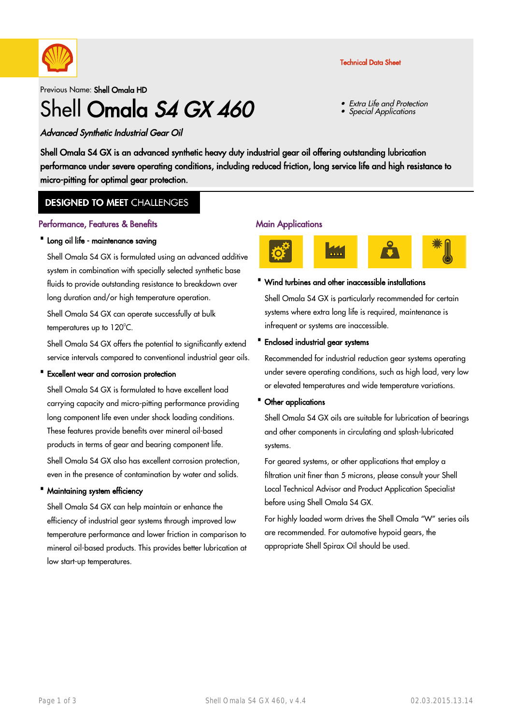

## Technical Data Sheet

Extra Life and Protection

Special Applications

•

•

Previous Name: Shell Omala HD

# Shell Omala S4 GX 460

Advanced Synthetic Industrial Gear Oil

Shell Omala S4 GX is an advanced synthetic heavy duty industrial gear oil offering outstanding lubrication performance under severe operating conditions, including reduced friction, long service life and high resistance to micro-pitting for optimal gear protection.

## **DESIGNED TO MEET CHALLENGES**

### Performance, Features & Benefits

### · Long oil life - maintenance saving

Shell Omala S4 GX is formulated using an advanced additive system in combination with specially selected synthetic base fluids to provide outstanding resistance to breakdown over long duration and/or high temperature operation.

Shell Omala S4 GX can operate successfully at bulk temperatures up to  $120^{\circ}$ C.

Shell Omala S4 GX offers the potential to significantly extend service intervals compared to conventional industrial gear oils.

#### · Excellent wear and corrosion protection

Shell Omala S4 GX is formulated to have excellent load carrying capacity and micro-pitting performance providing long component life even under shock loading conditions. These features provide benefits over mineral oil-based products in terms of gear and bearing component life. Shell Omala S4 GX also has excellent corrosion protection,

even in the presence of contamination by water and solids.

## · Maintaining system efficiency

Shell Omala S4 GX can help maintain or enhance the efficiency of industrial gear systems through improved low temperature performance and lower friction in comparison to mineral oil-based products. This provides better lubrication at low start-up temperatures.

#### Main Applications



#### · Wind turbines and other inaccessible installations

Shell Omala S4 GX is particularly recommended for certain systems where extra long life is required, maintenance is infrequent or systems are inaccessible.

#### · Enclosed industrial gear systems

Recommended for industrial reduction gear systems operating under severe operating conditions, such as high load, very low or elevated temperatures and wide temperature variations.

### · Other applications

Shell Omala S4 GX oils are suitable for lubrication of bearings and other components in circulating and splash-lubricated systems.

For geared systems, or other applications that employ a filtration unit finer than 5 microns, please consult your Shell Local Technical Advisor and Product Application Specialist before using Shell Omala S4 GX.

For highly loaded worm drives the Shell Omala "W" series oils are recommended. For automotive hypoid gears, the appropriate Shell Spirax Oil should be used.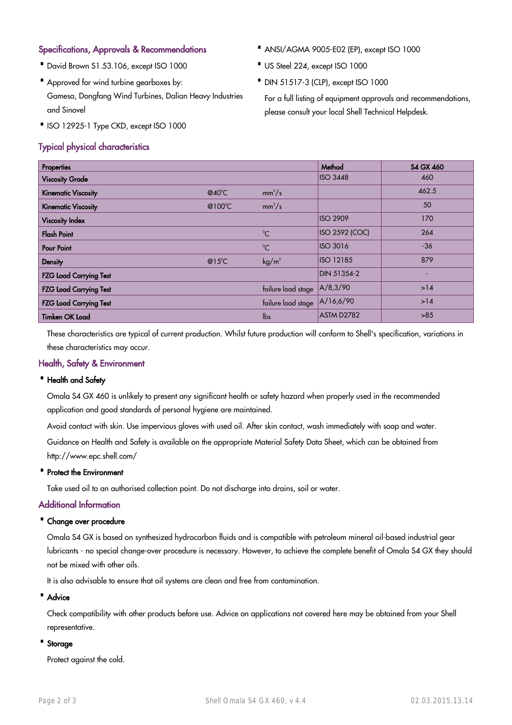## Specifications, Approvals & Recommendations

- · David Brown S1.53.106, except ISO 1000
- Approved for wind turbine gearboxes by: Gamesa, Dongfang Wind Turbines, Dalian Heavy Industries and Sinovel
- ·ISO 12925-1 Type CKD, except ISO 1000

## Typical physical characteristics

- · ANSI/AGMA 9005-E02 (EP), except ISO 1000
- · US Steel 224, except ISO 1000
- · DIN 51517-3 (CLP), except ISO 1000

For a full listing of equipment approvals and recommendations, please consult your local Shell Technical Helpdesk.

| Properties                    |                   |                    | Method                | <b>S4 GX 460</b> |
|-------------------------------|-------------------|--------------------|-----------------------|------------------|
| <b>Viscosity Grade</b>        |                   |                    | <b>ISO 3448</b>       | 460              |
| <b>Kinematic Viscosity</b>    | @40 $^{\circ}$ C  | $mm^2/s$           |                       | 462.5            |
| <b>Kinematic Viscosity</b>    | @100 $^{\circ}$ C | $mm^2/s$           |                       | 50               |
| <b>Viscosity Index</b>        |                   |                    | <b>ISO 2909</b>       | 170              |
| <b>Flash Point</b>            |                   | $^{\circ}$ C       | <b>ISO 2592 (COC)</b> | 264              |
| <b>Pour Point</b>             |                   | $^{\circ}C$        | <b>ISO 3016</b>       | $-36$            |
| <b>Density</b>                | @15 $^{\circ}$ C  | kg/m <sup>3</sup>  | <b>ISO 12185</b>      | 879              |
| <b>FZG Load Carrying Test</b> |                   |                    | DIN 51354-2           |                  |
| <b>FZG Load Carrying Test</b> |                   | failure load stage | A/8,3/90              | >14              |
| <b>FZG Load Carrying Test</b> |                   | failure load stage | A/16,6/90             | >14              |
| <b>Timken OK Load</b>         |                   | $\mathsf{lbs}$     | ASTM D2782            | >85              |

These characteristics are typical of current production. Whilst future production will conform to Shell's specification, variations in these characteristics may occur.

## Health, Safety & Environment

#### · Health and Safety

Omala S4 GX 460 is unlikely to present any significant health or safety hazard when properly used in the recommended application and good standards of personal hygiene are maintained.

Avoid contact with skin. Use impervious gloves with used oil. After skin contact, wash immediately with soap and water.

Guidance on Health and Safety is available on the appropriate Material Safety Data Sheet, which can be obtained from http://www.epc.shell.com/

#### · Protect the Environment

Take used oil to an authorised collection point. Do not discharge into drains, soil or water.

## Additional Information

#### · Change over procedure

Omala S4 GX is based on synthesized hydrocarbon fluids and is compatible with petroleum mineral oil-based industrial gear lubricants - no special change-over procedure is necessary. However, to achieve the complete benefit of Omala S4 GX they should not be mixed with other oils.

It is also advisable to ensure that oil systems are clean and free from contamination.

#### · Advice

Check compatibility with other products before use. Advice on applications not covered here may be obtained from your Shell representative.

## · Storage

Protect against the cold.